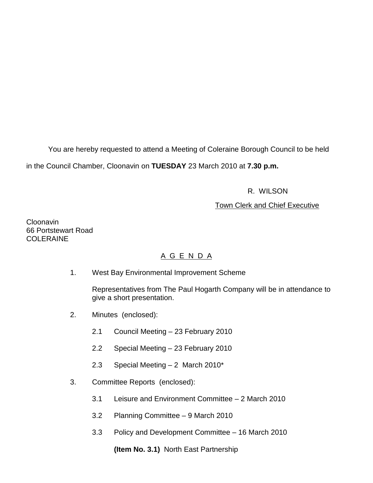You are hereby requested to attend a Meeting of Coleraine Borough Council to be held in the Council Chamber, Cloonavin on **TUESDAY** 23 March 2010 at **7.30 p.m.** 

# R. WILSON

## Town Clerk and Chief Executive

**Cloonavin** 66 Portstewart Road **COLERAINE** 

# A G E N D A

1. West Bay Environmental Improvement Scheme

 Representatives from The Paul Hogarth Company will be in attendance to give a short presentation.

- 2. Minutes (enclosed):
	- 2.1 Council Meeting 23 February 2010
	- 2.2 Special Meeting 23 February 2010
	- 2.3 Special Meeting 2 March 2010\*
- 3. Committee Reports (enclosed):
	- 3.1 Leisure and Environment Committee 2 March 2010
	- 3.2 Planning Committee 9 March 2010
	- 3.3 Policy and Development Committee 16 March 2010

**(Item No. 3.1)** North East Partnership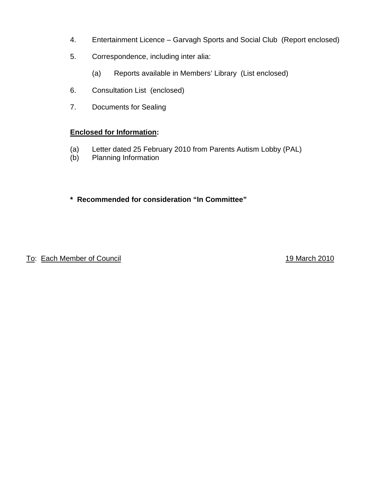- 4. Entertainment Licence Garvagh Sports and Social Club (Report enclosed)
- 5. Correspondence, including inter alia:
	- (a) Reports available in Members' Library (List enclosed)
- 6. Consultation List (enclosed)
- 7. Documents for Sealing

# **Enclosed for Information:**

- (a) Letter dated 25 February 2010 from Parents Autism Lobby (PAL)
- (b) Planning Information

# **\* Recommended for consideration "In Committee"**

To: Each Member of Council **19 March 2010**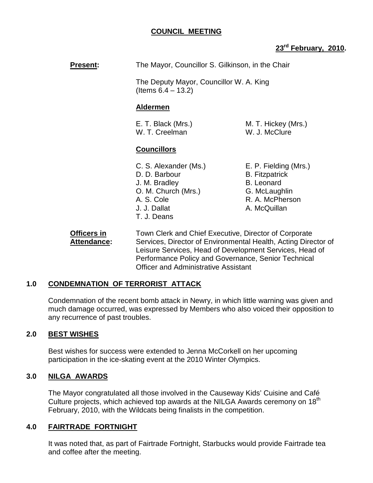## **COUNCIL MEETING**

## **23rd February, 2010.**

**Present:** The Mayor, Councillor S. Gilkinson, in the Chair

 The Deputy Mayor, Councillor W. A. King (Items 6.4 – 13.2)

### **Aldermen**

W. T. Creelman W. J. McClure

E. T. Black (Mrs.) M. T. Hickey (Mrs.)

## **Councillors**

- C. S. Alexander (Ms.) E. P. Fielding (Mrs.) D. D. Barbour B. Fitzpatrick J. M. Bradley B. Leonard O. M. Church (Mrs.) G. McLaughlin A. S. Cole R. A. McPherson J. J. Dallat A. McQuillan T. J. Deans
- 

 **Officers in** Town Clerk and Chief Executive, Director of Corporate Attendance: Services, Director of Environmental Health, Acting Director of Leisure Services, Head of Development Services, Head of Performance Policy and Governance, Senior Technical Officer and Administrative Assistant

## **1.0 CONDEMNATION OF TERRORIST ATTACK**

 Condemnation of the recent bomb attack in Newry, in which little warning was given and much damage occurred, was expressed by Members who also voiced their opposition to any recurrence of past troubles.

## **2.0 BEST WISHES**

 Best wishes for success were extended to Jenna McCorkell on her upcoming participation in the ice-skating event at the 2010 Winter Olympics.

### **3.0 NILGA AWARDS**

The Mayor congratulated all those involved in the Causeway Kids' Cuisine and Café Culture projects, which achieved top awards at the NILGA Awards ceremony on 18<sup>th</sup> February, 2010, with the Wildcats being finalists in the competition.

### **4.0 FAIRTRADE FORTNIGHT**

 It was noted that, as part of Fairtrade Fortnight, Starbucks would provide Fairtrade tea and coffee after the meeting.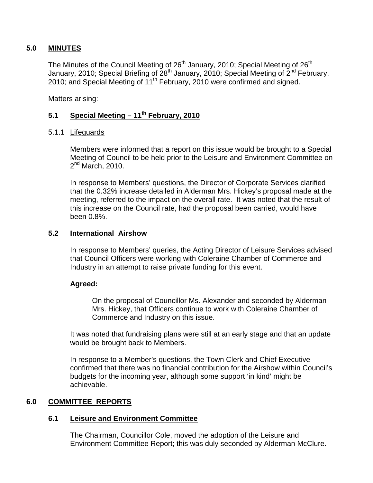### **5.0 MINUTES**

The Minutes of the Council Meeting of 26<sup>th</sup> January, 2010; Special Meeting of 26<sup>th</sup> January, 2010; Special Briefing of  $28^{th}$  January, 2010; Special Meeting of  $2^{nd}$  February, 2010; and Special Meeting of 11<sup>th</sup> February, 2010 were confirmed and signed.

Matters arising:

# **5.1 Special Meeting – 11th February, 2010**

### 5.1.1 Lifeguards

 Members were informed that a report on this issue would be brought to a Special Meeting of Council to be held prior to the Leisure and Environment Committee on  $2<sup>nd</sup>$  March, 2010.

 In response to Members' questions, the Director of Corporate Services clarified that the 0.32% increase detailed in Alderman Mrs. Hickey's proposal made at the meeting, referred to the impact on the overall rate. It was noted that the result of this increase on the Council rate, had the proposal been carried, would have been 0.8%.

### **5.2 International Airshow**

 In response to Members' queries, the Acting Director of Leisure Services advised that Council Officers were working with Coleraine Chamber of Commerce and Industry in an attempt to raise private funding for this event.

### **Agreed:**

On the proposal of Councillor Ms. Alexander and seconded by Alderman Mrs. Hickey, that Officers continue to work with Coleraine Chamber of Commerce and Industry on this issue.

 It was noted that fundraising plans were still at an early stage and that an update would be brought back to Members.

 In response to a Member's questions, the Town Clerk and Chief Executive confirmed that there was no financial contribution for the Airshow within Council's budgets for the incoming year, although some support 'in kind' might be achievable.

### **6.0 COMMITTEE REPORTS**

### **6.1 Leisure and Environment Committee**

 The Chairman, Councillor Cole, moved the adoption of the Leisure and Environment Committee Report; this was duly seconded by Alderman McClure.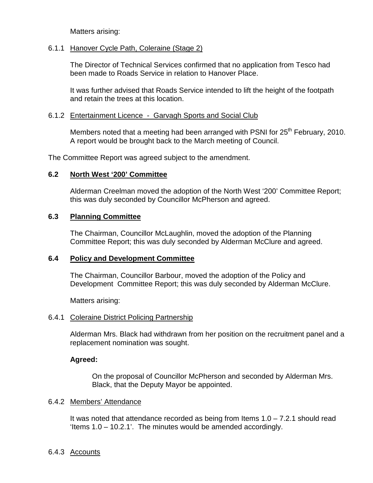Matters arising:

#### 6.1.1 Hanover Cycle Path, Coleraine (Stage 2)

The Director of Technical Services confirmed that no application from Tesco had been made to Roads Service in relation to Hanover Place.

It was further advised that Roads Service intended to lift the height of the footpath and retain the trees at this location.

### 6.1.2 Entertainment Licence - Garvagh Sports and Social Club

Members noted that a meeting had been arranged with PSNI for  $25<sup>th</sup>$  February, 2010. A report would be brought back to the March meeting of Council.

The Committee Report was agreed subject to the amendment.

## **6.2 North West '200' Committee**

Alderman Creelman moved the adoption of the North West '200' Committee Report; this was duly seconded by Councillor McPherson and agreed.

## **6.3 Planning Committee**

 The Chairman, Councillor McLaughlin, moved the adoption of the Planning Committee Report; this was duly seconded by Alderman McClure and agreed.

### **6.4 Policy and Development Committee**

 The Chairman, Councillor Barbour, moved the adoption of the Policy and Development Committee Report; this was duly seconded by Alderman McClure.

Matters arising:

### 6.4.1 Coleraine District Policing Partnership

Alderman Mrs. Black had withdrawn from her position on the recruitment panel and a replacement nomination was sought.

## **Agreed:**

 On the proposal of Councillor McPherson and seconded by Alderman Mrs. Black, that the Deputy Mayor be appointed.

### 6.4.2 Members' Attendance

It was noted that attendance recorded as being from Items  $1.0 - 7.2.1$  should read 'Items 1.0 – 10.2.1'. The minutes would be amended accordingly.

### 6.4.3 Accounts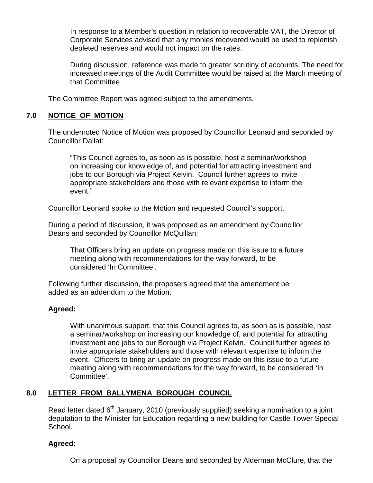In response to a Member's question in relation to recoverable VAT, the Director of Corporate Services advised that any monies recovered would be used to replenish depleted reserves and would not impact on the rates.

During discussion, reference was made to greater scrutiny of accounts. The need for increased meetings of the Audit Committee would be raised at the March meeting of that Committee

The Committee Report was agreed subject to the amendments.

## **7.0 NOTICE OF MOTION**

The undernoted Notice of Motion was proposed by Councillor Leonard and seconded by Councillor Dallat:

"This Council agrees to, as soon as is possible, host a seminar/workshop on increasing our knowledge of, and potential for attracting investment and jobs to our Borough via Project Kelvin. Council further agrees to invite appropriate stakeholders and those with relevant expertise to inform the event."

Councillor Leonard spoke to the Motion and requested Council's support.

 During a period of discussion, it was proposed as an amendment by Councillor Deans and seconded by Councillor McQuillan:

 That Officers bring an update on progress made on this issue to a future meeting along with recommendations for the way forward, to be considered 'In Committee'.

 Following further discussion, the proposers agreed that the amendment be added as an addendum to the Motion.

## **Agreed:**

 With unanimous support, that this Council agrees to, as soon as is possible, host a seminar/workshop on increasing our knowledge of, and potential for attracting investment and jobs to our Borough via Project Kelvin. Council further agrees to invite appropriate stakeholders and those with relevant expertise to inform the event. Officers to bring an update on progress made on this issue to a future meeting along with recommendations for the way forward, to be considered 'In Committee'.

## **8.0 LETTER FROM BALLYMENA BOROUGH COUNCIL**

Read letter dated  $6<sup>th</sup>$  January, 2010 (previously supplied) seeking a nomination to a joint deputation to the Minister for Education regarding a new building for Castle Tower Special School.

## **Agreed:**

On a proposal by Councillor Deans and seconded by Alderman McClure, that the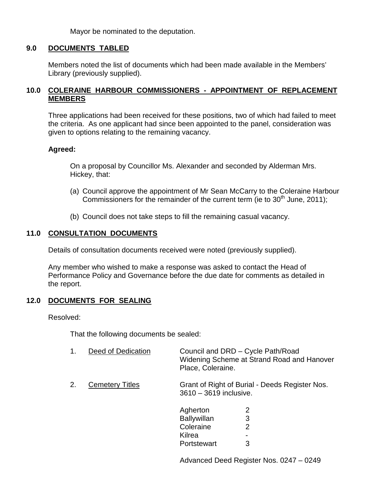Mayor be nominated to the deputation.

### **9.0 DOCUMENTS TABLED**

Members noted the list of documents which had been made available in the Members' Library (previously supplied).

### **10.0 COLERAINE HARBOUR COMMISSIONERS - APPOINTMENT OF REPLACEMENT MEMBERS**

Three applications had been received for these positions, two of which had failed to meet the criteria. As one applicant had since been appointed to the panel, consideration was given to options relating to the remaining vacancy.

### **Agreed:**

On a proposal by Councillor Ms. Alexander and seconded by Alderman Mrs. Hickey, that:

- (a) Council approve the appointment of Mr Sean McCarry to the Coleraine Harbour Commissioners for the remainder of the current term (ie to  $30<sup>th</sup>$  June, 2011);
- (b) Council does not take steps to fill the remaining casual vacancy.

## **11.0 CONSULTATION DOCUMENTS**

Details of consultation documents received were noted (previously supplied).

 Any member who wished to make a response was asked to contact the Head of Performance Policy and Governance before the due date for comments as detailed in the report.

### **12.0 DOCUMENTS FOR SEALING**

Resolved:

That the following documents be sealed:

| 1. | Deed of Dedication     | Council and DRD - Cycle Path/Road<br>Widening Scheme at Strand Road and Hanover<br>Place, Coleraine. |                  |
|----|------------------------|------------------------------------------------------------------------------------------------------|------------------|
| 2. | <b>Cemetery Titles</b> | Grant of Right of Burial - Deeds Register Nos.<br>3610 - 3619 inclusive.                             |                  |
|    |                        | Agherton<br><b>Ballywillan</b><br>Coleraine<br>Kilrea<br>Portstewart                                 | 2<br>3<br>2<br>3 |

Advanced Deed Register Nos. 0247 – 0249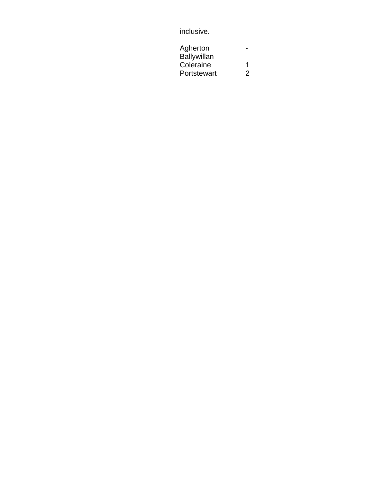# inclusive.

| Agherton           |   |
|--------------------|---|
| <b>Ballywillan</b> |   |
| Coleraine          | 1 |
| Portstewart        | 2 |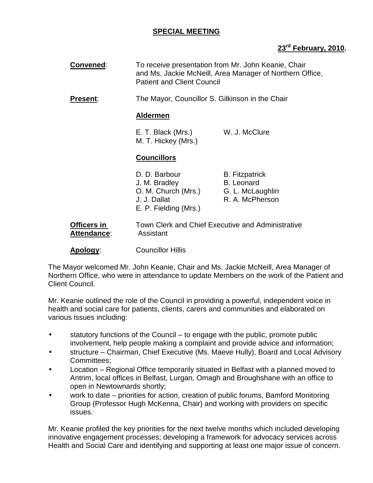## **SPECIAL MEETING**

## **23rd February, 2010.**

| Convened:                  | To receive presentation from Mr. John Keanie, Chair<br>and Ms. Jackie McNeill, Area Manager of Northern Office,<br><b>Patient and Client Council</b><br>The Mayor, Councillor S. Gilkinson in the Chair<br><b>Aldermen</b> |                                                                                   |
|----------------------------|----------------------------------------------------------------------------------------------------------------------------------------------------------------------------------------------------------------------------|-----------------------------------------------------------------------------------|
| <b>Present:</b>            |                                                                                                                                                                                                                            |                                                                                   |
|                            |                                                                                                                                                                                                                            |                                                                                   |
|                            | E. T. Black (Mrs.)<br>M. T. Hickey (Mrs.)                                                                                                                                                                                  | W. J. McClure                                                                     |
|                            | <b>Councillors</b>                                                                                                                                                                                                         |                                                                                   |
|                            | D. D. Barbour<br>J. M. Bradley<br>O. M. Church (Mrs.)<br>J. J. Dallat<br>E. P. Fielding (Mrs.)                                                                                                                             | <b>B.</b> Fitzpatrick<br><b>B.</b> Leonard<br>G. L. McLaughlin<br>R. A. McPherson |
| Officers in<br>Attendance: | Town Clerk and Chief Executive and Administrative<br>Assistant<br><b>Councillor Hillis</b>                                                                                                                                 |                                                                                   |
| Apology:                   |                                                                                                                                                                                                                            |                                                                                   |

The Mayor welcomed Mr. John Keanie, Chair and Ms. Jackie McNeill, Area Manager of Northern Office, who were in attendance to update Members on the work of the Patient and Client Council.

Mr. Keanie outlined the role of the Council in providing a powerful, independent voice in health and social care for patients, clients, carers and communities and elaborated on various issues including:

- statutory functions of the Council  $-$  to engage with the public, promote public involvement, help people making a complaint and provide advice and information;
- structure Chairman, Chief Executive (Ms. Maeve Hully), Board and Local Advisory Committees;
- Location Regional Office temporarily situated in Belfast with a planned moved to Antrim, local offices in Belfast, Lurgan, Omagh and Broughshane with an office to open in Newtownards shortly;
- work to date priorities for action, creation of public forums, Bamford Monitoring Group (Professor Hugh McKenna, Chair) and working with providers on specific issues.

Mr. Keanie profiled the key priorities for the next twelve months which included developing innovative engagement processes; developing a framework for advocacy services across Health and Social Care and identifying and supporting at least one major issue of concern.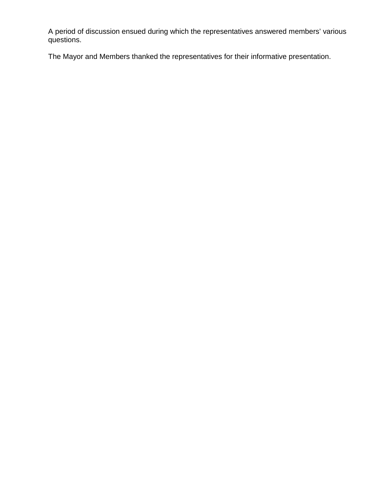A period of discussion ensued during which the representatives answered members' various questions.

The Mayor and Members thanked the representatives for their informative presentation.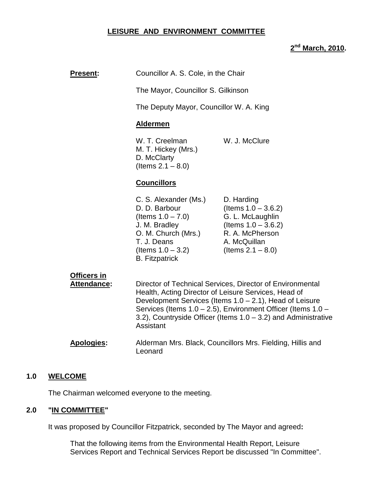## **LEISURE AND ENVIRONMENT COMMITTEE**

## **2 nd March, 2010.**

| <b>Present:</b>                          | Councillor A. S. Cole, in the Chair<br>The Mayor, Councillor S. Gilkinson<br>The Deputy Mayor, Councillor W. A. King                                                                                                                                                                                                                                                                                    |                                                                                                                                               |
|------------------------------------------|---------------------------------------------------------------------------------------------------------------------------------------------------------------------------------------------------------------------------------------------------------------------------------------------------------------------------------------------------------------------------------------------------------|-----------------------------------------------------------------------------------------------------------------------------------------------|
|                                          |                                                                                                                                                                                                                                                                                                                                                                                                         |                                                                                                                                               |
|                                          |                                                                                                                                                                                                                                                                                                                                                                                                         |                                                                                                                                               |
|                                          | <b>Aldermen</b>                                                                                                                                                                                                                                                                                                                                                                                         |                                                                                                                                               |
|                                          | W. T. Creelman<br>M. T. Hickey (Mrs.)<br>D. McClarty<br>(Items $2.1 - 8.0$ )                                                                                                                                                                                                                                                                                                                            | W. J. McClure                                                                                                                                 |
|                                          | <b>Councillors</b>                                                                                                                                                                                                                                                                                                                                                                                      |                                                                                                                                               |
|                                          | C. S. Alexander (Ms.)<br>D. D. Barbour<br>(Items $1.0 - 7.0$ )<br>J. M. Bradley<br>O. M. Church (Mrs.)<br>T. J. Deans<br>(Items $1.0 - 3.2$ )<br><b>B.</b> Fitzpatrick                                                                                                                                                                                                                                  | D. Harding<br>(Items $1.0 - 3.6.2$ )<br>G. L. McLaughlin<br>(Items $1.0 - 3.6.2$ )<br>R. A. McPherson<br>A. McQuillan<br>(Items $2.1 - 8.0$ ) |
| <b>Officers in</b><br><b>Attendance:</b> | Director of Technical Services, Director of Environmental<br>Health, Acting Director of Leisure Services, Head of<br>Development Services (Items 1.0 - 2.1), Head of Leisure<br>Services (Items 1.0 - 2.5), Environment Officer (Items 1.0 -<br>3.2), Countryside Officer (Items $1.0 - 3.2$ ) and Administrative<br>Assistant<br>Alderman Mrs. Black, Councillors Mrs. Fielding, Hillis and<br>Leonard |                                                                                                                                               |
| <b>Apologies:</b>                        |                                                                                                                                                                                                                                                                                                                                                                                                         |                                                                                                                                               |

#### **1.0 WELCOME**

The Chairman welcomed everyone to the meeting.

## **2.0 "IN COMMITTEE"**

It was proposed by Councillor Fitzpatrick, seconded by The Mayor and agreed**:** 

 That the following items from the Environmental Health Report, Leisure Services Report and Technical Services Report be discussed "In Committee".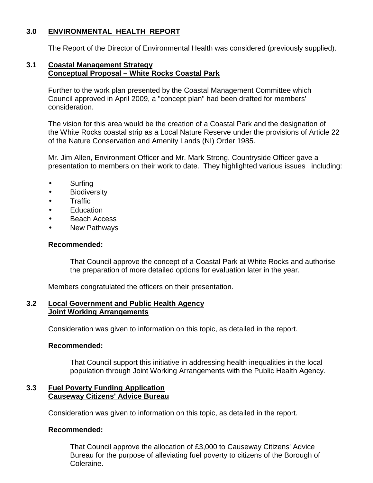## **3.0 ENVIRONMENTAL HEALTH REPORT**

The Report of the Director of Environmental Health was considered (previously supplied).

#### **3.1 Coastal Management Strategy Conceptual Proposal – White Rocks Coastal Park**

 Further to the work plan presented by the Coastal Management Committee which Council approved in April 2009, a "concept plan" had been drafted for members' consideration.

 The vision for this area would be the creation of a Coastal Park and the designation of the White Rocks coastal strip as a Local Nature Reserve under the provisions of Article 22 of the Nature Conservation and Amenity Lands (NI) Order 1985.

 Mr. Jim Allen, Environment Officer and Mr. Mark Strong, Countryside Officer gave a presentation to members on their work to date. They highlighted various issues including:

- Surfing
- Biodiversity
- Traffic
- Education
- **Beach Access**
- New Pathways

### **Recommended:**

 That Council approve the concept of a Coastal Park at White Rocks and authorise the preparation of more detailed options for evaluation later in the year.

Members congratulated the officers on their presentation.

### **3.2 Local Government and Public Health Agency Joint Working Arrangements**

Consideration was given to information on this topic, as detailed in the report.

### **Recommended:**

 That Council support this initiative in addressing health inequalities in the local population through Joint Working Arrangements with the Public Health Agency.

## **3.3 Fuel Poverty Funding Application Causeway Citizens' Advice Bureau**

Consideration was given to information on this topic, as detailed in the report.

### **Recommended:**

 That Council approve the allocation of £3,000 to Causeway Citizens' Advice Bureau for the purpose of alleviating fuel poverty to citizens of the Borough of Coleraine.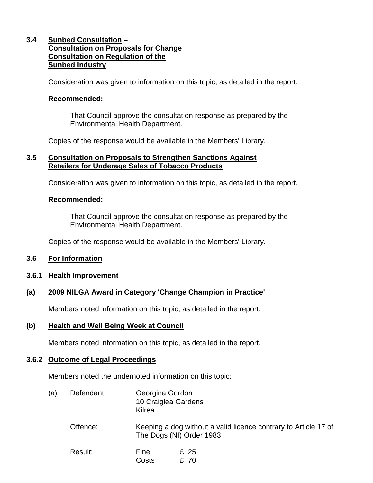## **3.4 Sunbed Consultation – Consultation on Proposals for Change Consultation on Regulation of the Sunbed Industry**

Consideration was given to information on this topic, as detailed in the report.

#### **Recommended:**

 That Council approve the consultation response as prepared by the Environmental Health Department.

Copies of the response would be available in the Members' Library.

#### **3.5 Consultation on Proposals to Strengthen Sanctions Against Retailers for Underage Sales of Tobacco Products**

Consideration was given to information on this topic, as detailed in the report.

#### **Recommended:**

 That Council approve the consultation response as prepared by the Environmental Health Department.

Copies of the response would be available in the Members' Library.

#### **3.6 For Information**

#### **3.6.1 Health Improvement**

### **(a) 2009 NILGA Award in Category 'Change Champion in Practice'**

Members noted information on this topic, as detailed in the report.

#### **(b) Health and Well Being Week at Council**

Members noted information on this topic, as detailed in the report.

### **3.6.2 Outcome of Legal Proceedings**

Members noted the undernoted information on this topic:

| (a) | Defendant: | Georgina Gordon     |
|-----|------------|---------------------|
|     |            | 10 Craiglea Gardens |
|     |            | Kilrea              |

| Offence: | Keeping a dog without a valid licence contrary to Article 17 of |
|----------|-----------------------------------------------------------------|
|          | The Dogs (NI) Order 1983                                        |

| Result: | Fine  | £ 25 |
|---------|-------|------|
|         | Costs | £ 70 |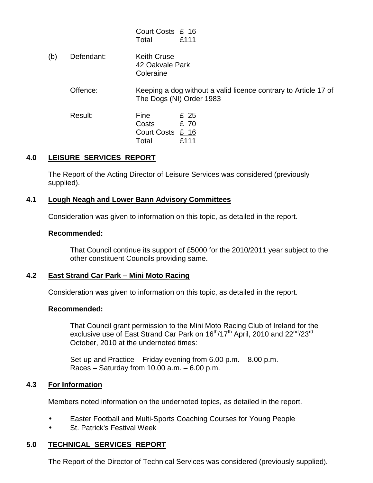| Court Costs £ 16 |      |
|------------------|------|
| Total            | £111 |

(b) Defendant: Keith Cruse 42 Oakvale Park **Coleraine** 

#### Offence: Keeping a dog without a valid licence contrary to Article 17 of The Dogs (NI) Order 1983

Result: Fine £ 25<br>Costs £ 70 Costs Court Costs £ 16 Total £111

## **4.0 LEISURE SERVICES REPORT**

 The Report of the Acting Director of Leisure Services was considered (previously supplied).

### **4.1 Lough Neagh and Lower Bann Advisory Committees**

Consideration was given to information on this topic, as detailed in the report.

### **Recommended:**

 That Council continue its support of £5000 for the 2010/2011 year subject to the other constituent Councils providing same.

## **4.2 East Strand Car Park – Mini Moto Racing**

Consideration was given to information on this topic, as detailed in the report.

### **Recommended:**

 That Council grant permission to the Mini Moto Racing Club of Ireland for the exclusive use of East Strand Car Park on 16<sup>th</sup>/17<sup>th</sup> April, 2010 and 22<sup>nd</sup>/23<sup>rd</sup> October, 2010 at the undernoted times:

> Set-up and Practice – Friday evening from 6.00 p.m. – 8.00 p.m. Races – Saturday from  $10.00$  a.m. – 6.00 p.m.

## **4.3 For Information**

Members noted information on the undernoted topics, as detailed in the report.

- Easter Football and Multi-Sports Coaching Courses for Young People
- St. Patrick's Festival Week

# **5.0 TECHNICAL SERVICES REPORT**

The Report of the Director of Technical Services was considered (previously supplied).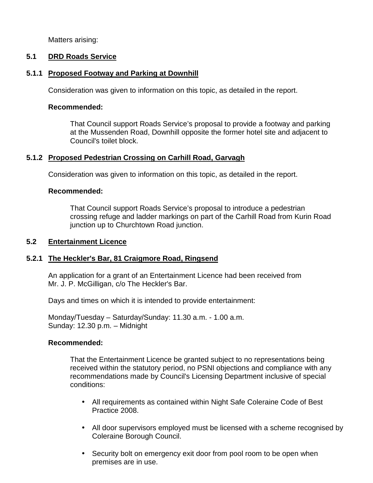Matters arising:

## **5.1 DRD Roads Service**

### **5.1.1 Proposed Footway and Parking at Downhill**

Consideration was given to information on this topic, as detailed in the report.

#### **Recommended:**

 That Council support Roads Service's proposal to provide a footway and parking at the Mussenden Road, Downhill opposite the former hotel site and adjacent to Council's toilet block.

## **5.1.2 Proposed Pedestrian Crossing on Carhill Road, Garvagh**

Consideration was given to information on this topic, as detailed in the report.

### **Recommended:**

 That Council support Roads Service's proposal to introduce a pedestrian crossing refuge and ladder markings on part of the Carhill Road from Kurin Road junction up to Churchtown Road junction.

### **5.2 Entertainment Licence**

### **5.2.1 The Heckler's Bar, 81 Craigmore Road, Ringsend**

 An application for a grant of an Entertainment Licence had been received from Mr. J. P. McGilligan, c/o The Heckler's Bar.

Days and times on which it is intended to provide entertainment:

 Monday/Tuesday – Saturday/Sunday: 11.30 a.m. - 1.00 a.m. Sunday: 12.30 p.m. – Midnight

### **Recommended:**

 That the Entertainment Licence be granted subject to no representations being received within the statutory period, no PSNI objections and compliance with any recommendations made by Council's Licensing Department inclusive of special conditions:

- All requirements as contained within Night Safe Coleraine Code of Best Practice 2008.
- All door supervisors employed must be licensed with a scheme recognised by Coleraine Borough Council.
- Security bolt on emergency exit door from pool room to be open when premises are in use.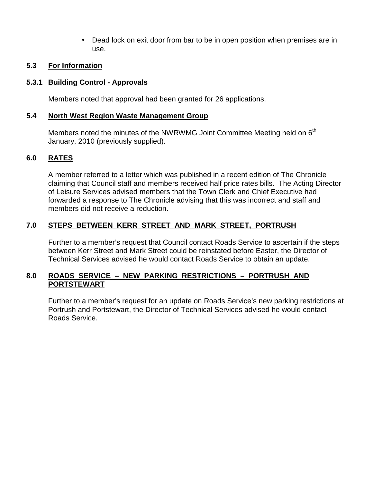• Dead lock on exit door from bar to be in open position when premises are in use.

## **5.3 For Information**

### **5.3.1 Building Control - Approvals**

Members noted that approval had been granted for 26 applications.

### **5.4 North West Region Waste Management Group**

Members noted the minutes of the NWRWMG Joint Committee Meeting held on  $6<sup>th</sup>$ January, 2010 (previously supplied).

## **6.0 RATES**

A member referred to a letter which was published in a recent edition of The Chronicle claiming that Council staff and members received half price rates bills. The Acting Director of Leisure Services advised members that the Town Clerk and Chief Executive had forwarded a response to The Chronicle advising that this was incorrect and staff and members did not receive a reduction.

## **7.0 STEPS BETWEEN KERR STREET AND MARK STREET, PORTRUSH**

Further to a member's request that Council contact Roads Service to ascertain if the steps between Kerr Street and Mark Street could be reinstated before Easter, the Director of Technical Services advised he would contact Roads Service to obtain an update.

## **8.0 ROADS SERVICE – NEW PARKING RESTRICTIONS – PORTRUSH AND PORTSTEWART**

Further to a member's request for an update on Roads Service's new parking restrictions at Portrush and Portstewart, the Director of Technical Services advised he would contact Roads Service.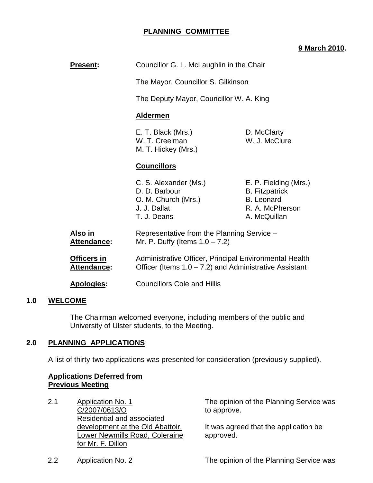## **PLANNING COMMITTEE**

### **9 March 2010.**

| <b>Present:</b>                          | Councillor G. L. McLaughlin in the Chair                                                                                                                  |                                                                                                        |
|------------------------------------------|-----------------------------------------------------------------------------------------------------------------------------------------------------------|--------------------------------------------------------------------------------------------------------|
|                                          | The Mayor, Councillor S. Gilkinson                                                                                                                        |                                                                                                        |
|                                          | The Deputy Mayor, Councillor W. A. King                                                                                                                   |                                                                                                        |
|                                          | <b>Aldermen</b>                                                                                                                                           |                                                                                                        |
|                                          | E. T. Black (Mrs.)<br>D. McClarty<br>W. T. Creelman<br>W. J. McClure<br>M. T. Hickey (Mrs.)                                                               |                                                                                                        |
|                                          | <b>Councillors</b>                                                                                                                                        |                                                                                                        |
|                                          | C. S. Alexander (Ms.)<br>D. D. Barbour<br>O. M. Church (Mrs.)<br>J. J. Dallat<br>T. J. Deans                                                              | E. P. Fielding (Mrs.)<br><b>B.</b> Fitzpatrick<br><b>B.</b> Leonard<br>R. A. McPherson<br>A. McQuillan |
| Also in<br><b>Attendance:</b>            | Representative from the Planning Service -<br>Mr. P. Duffy (Items $1.0 - 7.2$ )                                                                           |                                                                                                        |
| <b>Officers in</b><br><b>Attendance:</b> | Administrative Officer, Principal Environmental Health<br>Officer (Items $1.0 - 7.2$ ) and Administrative Assistant<br><b>Councillors Cole and Hillis</b> |                                                                                                        |
| <b>Apologies:</b>                        |                                                                                                                                                           |                                                                                                        |

#### **1.0 WELCOME**

 The Chairman welcomed everyone, including members of the public and University of Ulster students, to the Meeting.

### **2.0 PLANNING APPLICATIONS**

A list of thirty-two applications was presented for consideration (previously supplied).

### **Applications Deferred from Previous Meeting**

2.1 Application No. 1 C/2007/0613/O Residential and associated development at the Old Abattoir, Lower Newmills Road, Coleraine for Mr. F. Dillon

The opinion of the Planning Service was to approve.

It was agreed that the application be approved.

2.2 Application No. 2 The opinion of the Planning Service was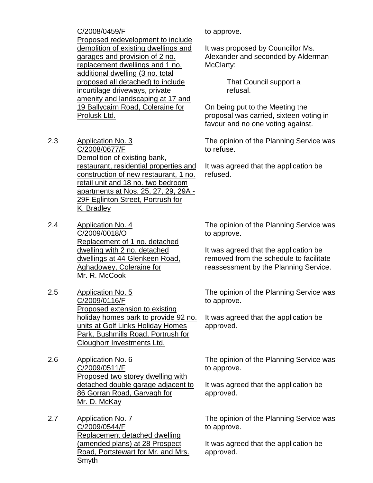C/2008/0459/F Proposed redevelopment to include demolition of existing dwellings and garages and provision of 2 no. replacement dwellings and 1 no. additional dwelling (3 no. total proposed all detached) to include incurtilage driveways, private amenity and landscaping at 17 and 19 Ballycairn Road, Coleraine for Prolusk Ltd.

- 2.3 Application No. 3 C/2008/0677/F Demolition of existing bank, restaurant, residential properties and construction of new restaurant, 1 no. retail unit and 18 no. two bedroom apartments at Nos. 25, 27, 29, 29A - 29F Eglinton Street, Portrush for K. Bradley
- 2.4 Application No. 4 C/2009/0018/O Replacement of 1 no. detached dwelling with 2 no. detached dwellings at 44 Glenkeen Road, Aghadowey, Coleraine for Mr. R. McCook
- 2.5 Application No. 5 C/2009/0116/F Proposed extension to existing holiday homes park to provide 92 no. units at Golf Links Holiday Homes Park, Bushmills Road, Portrush for Cloughorr Investments Ltd.
- 2.6 Application No. 6 C/2009/0511/F Proposed two storey dwelling with detached double garage adjacent to 86 Gorran Road, Garvagh for Mr. D. McKay
- 2.7 Application No. 7 C/2009/0544/F Replacement detached dwelling (amended plans) at 28 Prospect Road, Portstewart for Mr. and Mrs. Smyth

to approve.

It was proposed by Councillor Ms. Alexander and seconded by Alderman McClarty:

> That Council support a refusal.

On being put to the Meeting the proposal was carried, sixteen voting in favour and no one voting against.

The opinion of the Planning Service was to refuse.

It was agreed that the application be refused.

The opinion of the Planning Service was to approve.

It was agreed that the application be removed from the schedule to facilitate reassessment by the Planning Service.

The opinion of the Planning Service was to approve.

It was agreed that the application be approved.

The opinion of the Planning Service was to approve.

It was agreed that the application be approved.

The opinion of the Planning Service was to approve.

It was agreed that the application be approved.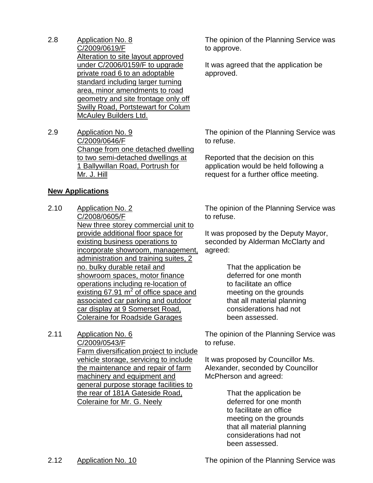- 2.8 Application No. 8 C/2009/0619/F Alteration to site layout approved under C/2006/0159/F to upgrade private road 6 to an adoptable standard including larger turning area, minor amendments to road geometry and site frontage only off Swilly Road, Portstewart for Colum McAuley Builders Ltd.
- 2.9 Application No. 9 C/2009/0646/F Change from one detached dwelling to two semi-detached dwellings at 1 Ballywillan Road, Portrush for Mr. J. Hill

#### **New Applications**

- 2.10 Application No. 2 C/2008/0605/F New three storey commercial unit to provide additional floor space for existing business operations to incorporate showroom, management, administration and training suites, 2 no. bulky durable retail and showroom spaces, motor finance operations including re-location of existing  $67.91 \text{ m}^2$  of office space and associated car parking and outdoor car display at 9 Somerset Road, Coleraine for Roadside Garages
- 2.11 Application No. 6 C/2009/0543/F Farm diversification project to include vehicle storage, servicing to include the maintenance and repair of farm machinery and equipment and general purpose storage facilities to the rear of 181A Gateside Road, Coleraine for Mr. G. Neely

The opinion of the Planning Service was to approve.

It was agreed that the application be approved.

The opinion of the Planning Service was to refuse.

Reported that the decision on this application would be held following a request for a further office meeting.

The opinion of the Planning Service was to refuse.

It was proposed by the Deputy Mayor, seconded by Alderman McClarty and agreed:

> That the application be deferred for one month to facilitate an office meeting on the grounds that all material planning considerations had not been assessed.

The opinion of the Planning Service was to refuse.

It was proposed by Councillor Ms. Alexander, seconded by Councillor McPherson and agreed:

> That the application be deferred for one month to facilitate an office meeting on the grounds that all material planning considerations had not been assessed.

2.12 Application No. 10 The opinion of the Planning Service was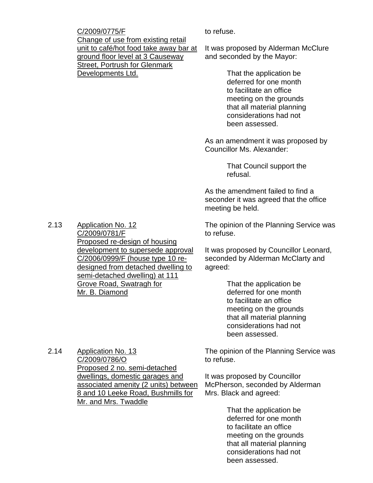C/2009/0775/F Change of use from existing retail unit to café/hot food take away bar at ground floor level at 3 Causeway Street, Portrush for Glenmark Developments Ltd.

to refuse.

It was proposed by Alderman McClure and seconded by the Mayor:

> That the application be deferred for one month to facilitate an office meeting on the grounds that all material planning considerations had not been assessed.

As an amendment it was proposed by Councillor Ms. Alexander:

> That Council support the refusal.

As the amendment failed to find a seconder it was agreed that the office meeting be held.

2.13 Application No. 12 C/2009/0781/F Proposed re-design of housing development to supersede approval C/2006/0999/F (house type 10 redesigned from detached dwelling to semi-detached dwelling) at 111 Grove Road, Swatragh for Mr. B. Diamond

2.14 Application No. 13 C/2009/0786/O Proposed 2 no. semi-detached dwellings, domestic garages and associated amenity (2 units) between 8 and 10 Leeke Road, Bushmills for Mr. and Mrs. Twaddle

The opinion of the Planning Service was to refuse.

It was proposed by Councillor Leonard, seconded by Alderman McClarty and agreed:

> That the application be deferred for one month to facilitate an office meeting on the grounds that all material planning considerations had not been assessed.

The opinion of the Planning Service was to refuse.

It was proposed by Councillor McPherson, seconded by Alderman Mrs. Black and agreed:

> That the application be deferred for one month to facilitate an office meeting on the grounds that all material planning considerations had not been assessed.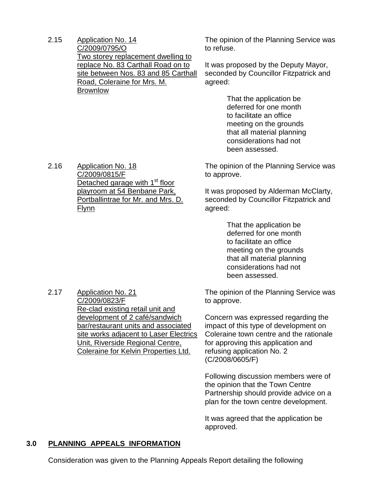2.15 Application No. 14 C/2009/0795/O Two storey replacement dwelling to replace No. 83 Carthall Road on to site between Nos. 83 and 85 Carthall Road, Coleraine for Mrs. M. **Brownlow** 

The opinion of the Planning Service was to refuse.

It was proposed by the Deputy Mayor, seconded by Councillor Fitzpatrick and agreed:

> That the application be deferred for one month to facilitate an office meeting on the grounds that all material planning considerations had not been assessed.

The opinion of the Planning Service was to approve.

It was proposed by Alderman McClarty, seconded by Councillor Fitzpatrick and agreed:

> That the application be deferred for one month to facilitate an office meeting on the grounds that all material planning considerations had not been assessed.

The opinion of the Planning Service was to approve.

Concern was expressed regarding the impact of this type of development on Coleraine town centre and the rationale for approving this application and refusing application No. 2 (C/2008/0605/F)

Following discussion members were of the opinion that the Town Centre Partnership should provide advice on a plan for the town centre development.

It was agreed that the application be approved.

### **3.0 PLANNING APPEALS INFORMATION**

Consideration was given to the Planning Appeals Report detailing the following

2.16 Application No. 18 C/2009/0815/F Detached garage with 1<sup>st</sup> floor playroom at 54 Benbane Park, Portballintrae for Mr. and Mrs. D. Flynn

2.17 Application No. 21 C/2009/0823/F Re-clad existing retail unit and development of 2 café/sandwich bar/restaurant units and associated site works adjacent to Laser Electrics Unit, Riverside Regional Centre, Coleraine for Kelvin Properties Ltd.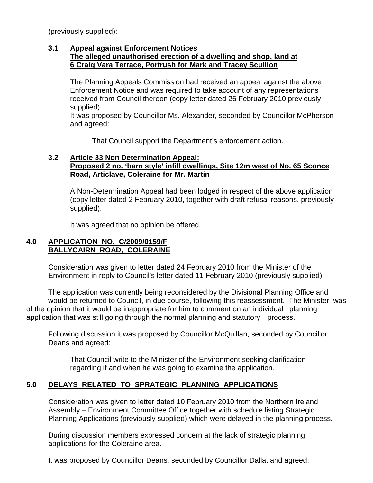(previously supplied):

#### **3.1 Appeal against Enforcement Notices The alleged unauthorised erection of a dwelling and shop, land at 6 Craig Vara Terrace, Portrush for Mark and Tracey Scullion**

 The Planning Appeals Commission had received an appeal against the above Enforcement Notice and was required to take account of any representations received from Council thereon (copy letter dated 26 February 2010 previously supplied).

 It was proposed by Councillor Ms. Alexander, seconded by Councillor McPherson and agreed:

That Council support the Department's enforcement action.

### **3.2 Article 33 Non Determination Appeal: Proposed 2 no. 'barn style' infill dwellings, Site 12m west of No. 65 Sconce Road, Articlave, Coleraine for Mr. Martin**

 A Non-Determination Appeal had been lodged in respect of the above application (copy letter dated 2 February 2010, together with draft refusal reasons, previously supplied).

It was agreed that no opinion be offered.

## **4.0 APPLICATION NO. C/2009/0159/F BALLYCAIRN ROAD, COLERAINE**

 Consideration was given to letter dated 24 February 2010 from the Minister of the Environment in reply to Council's letter dated 11 February 2010 (previously supplied).

 The application was currently being reconsidered by the Divisional Planning Office and would be returned to Council, in due course, following this reassessment. The Minister was of the opinion that it would be inappropriate for him to comment on an individual planning application that was still going through the normal planning and statutory process.

 Following discussion it was proposed by Councillor McQuillan, seconded by Councillor Deans and agreed:

 That Council write to the Minister of the Environment seeking clarification regarding if and when he was going to examine the application.

# **5.0 DELAYS RELATED TO SPRATEGIC PLANNING APPLICATIONS**

 Consideration was given to letter dated 10 February 2010 from the Northern Ireland Assembly – Environment Committee Office together with schedule listing Strategic Planning Applications (previously supplied) which were delayed in the planning process.

 During discussion members expressed concern at the lack of strategic planning applications for the Coleraine area.

It was proposed by Councillor Deans, seconded by Councillor Dallat and agreed: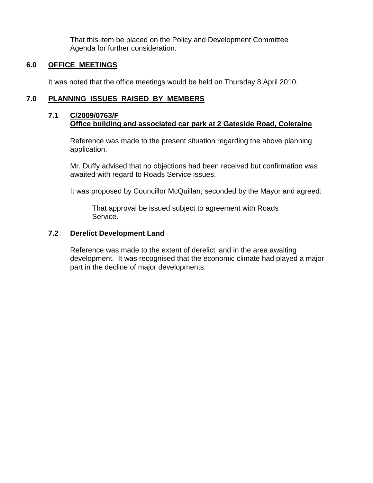That this item be placed on the Policy and Development Committee Agenda for further consideration.

## **6.0 OFFICE MEETINGS**

It was noted that the office meetings would be held on Thursday 8 April 2010.

# **7.0 PLANNING ISSUES RAISED BY MEMBERS**

## **7.1 C/2009/0763/F Office building and associated car park at 2 Gateside Road, Coleraine**

Reference was made to the present situation regarding the above planning application.

 Mr. Duffy advised that no objections had been received but confirmation was awaited with regard to Roads Service issues.

It was proposed by Councillor McQuillan, seconded by the Mayor and agreed:

 That approval be issued subject to agreement with Roads Service.

# **7.2 Derelict Development Land**

 Reference was made to the extent of derelict land in the area awaiting development. It was recognised that the economic climate had played a major part in the decline of major developments.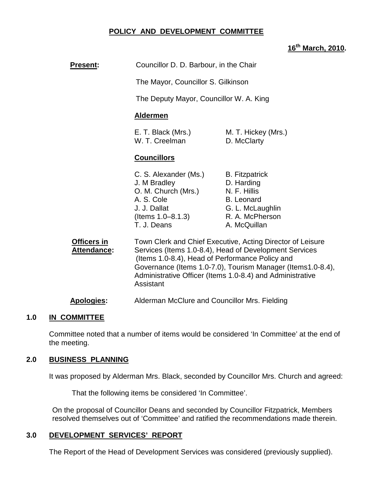## **POLICY AND DEVELOPMENT COMMITTEE**

### **16th March, 2010.**

| <b>Present:</b>            | Councillor D. D. Barbour, in the Chair                                                                                                                                                                                                                                                                                                                            |                                                                                                                                 |
|----------------------------|-------------------------------------------------------------------------------------------------------------------------------------------------------------------------------------------------------------------------------------------------------------------------------------------------------------------------------------------------------------------|---------------------------------------------------------------------------------------------------------------------------------|
|                            | The Mayor, Councillor S. Gilkinson                                                                                                                                                                                                                                                                                                                                |                                                                                                                                 |
|                            | The Deputy Mayor, Councillor W. A. King                                                                                                                                                                                                                                                                                                                           |                                                                                                                                 |
|                            | <b>Aldermen</b>                                                                                                                                                                                                                                                                                                                                                   |                                                                                                                                 |
|                            | E. T. Black (Mrs.)<br>W. T. Creelman                                                                                                                                                                                                                                                                                                                              | M. T. Hickey (Mrs.)<br>D. McClarty                                                                                              |
|                            | <b>Councillors</b>                                                                                                                                                                                                                                                                                                                                                |                                                                                                                                 |
|                            | C. S. Alexander (Ms.)<br>J. M Bradley<br>O. M. Church (Mrs.)<br>A. S. Cole<br>J. J. Dallat<br>(Items 1.0–8.1.3)<br>T. J. Deans                                                                                                                                                                                                                                    | <b>B.</b> Fitzpatrick<br>D. Harding<br>N. F. Hillis<br><b>B.</b> Leonard<br>G. L. McLaughlin<br>R. A. McPherson<br>A. McQuillan |
| Officers in<br>Attendance: | Town Clerk and Chief Executive, Acting Director of Leisure<br>Services (Items 1.0-8.4), Head of Development Services<br>(Items 1.0-8.4), Head of Performance Policy and<br>Governance (Items 1.0-7.0), Tourism Manager (Items1.0-8.4),<br>Administrative Officer (Items 1.0-8.4) and Administrative<br>Assistant<br>Alderman McClure and Councillor Mrs. Fielding |                                                                                                                                 |
| <b>Apologies:</b>          |                                                                                                                                                                                                                                                                                                                                                                   |                                                                                                                                 |

#### **1.0 IN COMMITTEE**

Committee noted that a number of items would be considered 'In Committee' at the end of the meeting.

### **2.0 BUSINESS PLANNING**

It was proposed by Alderman Mrs. Black, seconded by Councillor Mrs. Church and agreed:

That the following items be considered 'In Committee'.

On the proposal of Councillor Deans and seconded by Councillor Fitzpatrick, Members resolved themselves out of 'Committee' and ratified the recommendations made therein.

### **3.0 DEVELOPMENT SERVICES' REPORT**

The Report of the Head of Development Services was considered (previously supplied).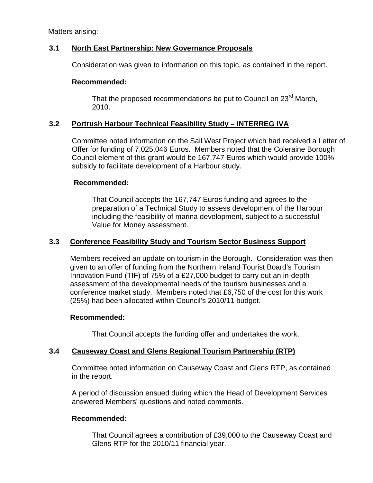Matters arising:

### **3.1 North East Partnership: New Governance Proposals**

Consideration was given to information on this topic, as contained in the report.

### **Recommended:**

That the proposed recommendations be put to Council on 23<sup>rd</sup> March, 2010.

## **3.2 Portrush Harbour Technical Feasibility Study – INTERREG IVA**

Committee noted information on the Sail West Project which had received a Letter of Offer for funding of 7,025,046 Euros. Members noted that the Coleraine Borough Council element of this grant would be 167,747 Euros which would provide 100% subsidy to facilitate development of a Harbour study.

### **Recommended:**

That Council accepts the 167,747 Euros funding and agrees to the preparation of a Technical Study to assess development of the Harbour including the feasibility of marina development, subject to a successful Value for Money assessment.

### **3.3 Conference Feasibility Study and Tourism Sector Business Support**

Members received an update on tourism in the Borough. Consideration was then given to an offer of funding from the Northern Ireland Tourist Board's Tourism Innovation Fund (TIF) of 75% of a £27,000 budget to carry out an in-depth assessment of the developmental needs of the tourism businesses and a conference market study. Members noted that £6,750 of the cost for this work (25%) had been allocated within Council's 2010/11 budget.

### **Recommended:**

That Council accepts the funding offer and undertakes the work.

## **3.4 Causeway Coast and Glens Regional Tourism Partnership (RTP)**

Committee noted information on Causeway Coast and Glens RTP, as contained in the report.

 A period of discussion ensued during which the Head of Development Services answered Members' questions and noted comments.

## **Recommended:**

That Council agrees a contribution of £39,000 to the Causeway Coast and Glens RTP for the 2010/11 financial year.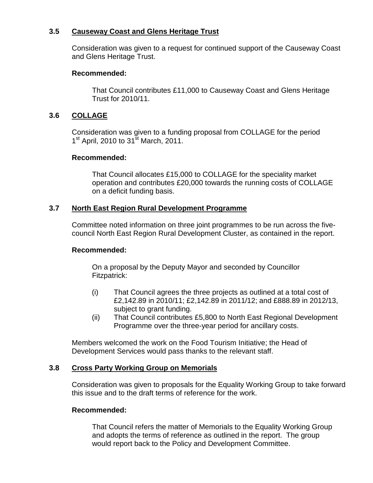### **3.5 Causeway Coast and Glens Heritage Trust**

Consideration was given to a request for continued support of the Causeway Coast and Glens Heritage Trust.

#### **Recommended:**

That Council contributes £11,000 to Causeway Coast and Glens Heritage Trust for 2010/11.

## **3.6 COLLAGE**

Consideration was given to a funding proposal from COLLAGE for the period 1<sup>st</sup> April, 2010 to 31<sup>st</sup> March, 2011.

### **Recommended:**

That Council allocates £15,000 to COLLAGE for the speciality market operation and contributes £20,000 towards the running costs of COLLAGE on a deficit funding basis.

### **3.7 North East Region Rural Development Programme**

Committee noted information on three joint programmes to be run across the fivecouncil North East Region Rural Development Cluster, as contained in the report.

### **Recommended:**

On a proposal by the Deputy Mayor and seconded by Councillor Fitzpatrick:

- (i) That Council agrees the three projects as outlined at a total cost of £2,142.89 in 2010/11; £2,142.89 in 2011/12; and £888.89 in 2012/13, subject to grant funding.
- (ii) That Council contributes £5,800 to North East Regional Development Programme over the three-year period for ancillary costs.

 Members welcomed the work on the Food Tourism Initiative; the Head of Development Services would pass thanks to the relevant staff.

### **3.8 Cross Party Working Group on Memorials**

Consideration was given to proposals for the Equality Working Group to take forward this issue and to the draft terms of reference for the work.

### **Recommended:**

That Council refers the matter of Memorials to the Equality Working Group and adopts the terms of reference as outlined in the report. The group would report back to the Policy and Development Committee.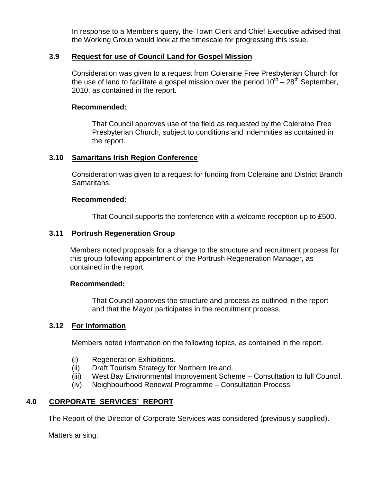In response to a Member's query, the Town Clerk and Chief Executive advised that the Working Group would look at the timescale for progressing this issue.

#### **3.9 Request for use of Council Land for Gospel Mission**

Consideration was given to a request from Coleraine Free Presbyterian Church for the use of land to facilitate a gospel mission over the period  $10^{th} - 28^{th}$  September. 2010, as contained in the report.

#### **Recommended:**

That Council approves use of the field as requested by the Coleraine Free Presbyterian Church, subject to conditions and indemnities as contained in the report.

### **3.10 Samaritans Irish Region Conference**

Consideration was given to a request for funding from Coleraine and District Branch Samaritans.

#### **Recommended:**

That Council supports the conference with a welcome reception up to £500.

#### **3.11 Portrush Regeneration Group**

Members noted proposals for a change to the structure and recruitment process for this group following appointment of the Portrush Regeneration Manager, as contained in the report.

#### **Recommended:**

 That Council approves the structure and process as outlined in the report and that the Mayor participates in the recruitment process.

#### **3.12 For Information**

Members noted information on the following topics, as contained in the report.

- (i) Regeneration Exhibitions.
- (ii) Draft Tourism Strategy for Northern Ireland.
- (iii) West Bay Environmental Improvement Scheme Consultation to full Council.
- (iv) Neighbourhood Renewal Programme Consultation Process.

### **4.0 CORPORATE SERVICES' REPORT**

The Report of the Director of Corporate Services was considered (previously supplied).

Matters arising: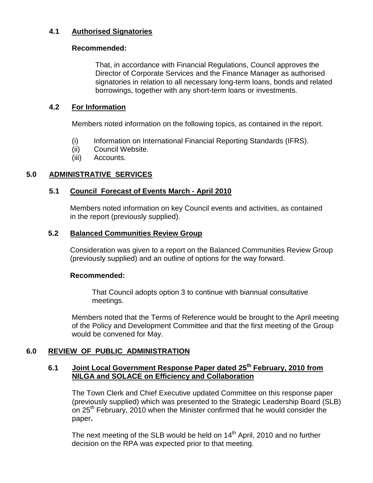## **4.1 Authorised Signatories**

#### **Recommended:**

That, in accordance with Financial Regulations, Council approves the Director of Corporate Services and the Finance Manager as authorised signatories in relation to all necessary long-term loans, bonds and related borrowings, together with any short-term loans or investments.

### **4.2 For Information**

Members noted information on the following topics, as contained in the report.

- (i) Information on International Financial Reporting Standards (IFRS).
- (ii) Council Website.
- (iii) Accounts.

## **5.0 ADMINISTRATIVE SERVICES**

### **5.1 Council Forecast of Events March - April 2010**

Members noted information on key Council events and activities, as contained in the report (previously supplied).

### **5.2 Balanced Communities Review Group**

Consideration was given to a report on the Balanced Communities Review Group (previously supplied) and an outline of options for the way forward.

### **Recommended:**

That Council adopts option 3 to continue with biannual consultative meetings.

Members noted that the Terms of Reference would be brought to the April meeting of the Policy and Development Committee and that the first meeting of the Group would be convened for May.

### **6.0 REVIEW OF PUBLIC ADMINISTRATION**

### **6.1 Joint Local Government Response Paper dated 25th February, 2010 from NILGA and SOLACE on Efficiency and Collaboration**

The Town Clerk and Chief Executive updated Committee on this response paper (previously supplied) which was presented to the Strategic Leadership Board (SLB) on 25<sup>th</sup> February, 2010 when the Minister confirmed that he would consider the paper**.** 

The next meeting of the SLB would be held on  $14<sup>th</sup>$  April, 2010 and no further decision on the RPA was expected prior to that meeting.